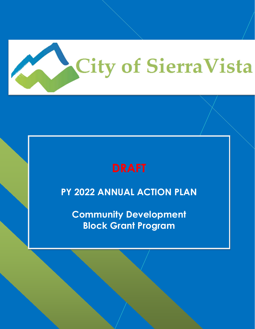

**PY 2022 ANNUAL ACTION PLAN**

**Community Development Block Grant Program**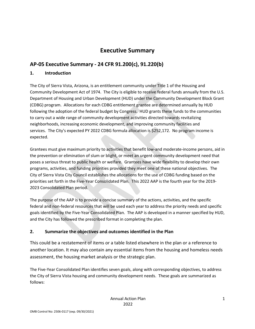# **Executive Summary**

# **AP-05 Executive Summary - 24 CFR 91.200(c), 91.220(b)**

### **1. Introduction**

The City of Sierra Vista, Arizona, is an entitlement community under Title 1 of the Housing and Community Development Act of 1974. The City is eligible to receive federal funds annually from the U.S. Department of Housing and Urban Development (HUD) under the Community Development Block Grant (CDBG) program. Allocations for each CDBG entitlement grantee are determined annually by HUD following the adoption of the federal budget by Congress. HUD grants these funds to the communities to carry out a wide range of community development activities directed towards revitalizing neighborhoods, increasing economic development, and improving community facilities and services. The City's expected PY 2022 CDBG formula allocation is \$252,172. No program income is expected.

Grantees must give maximum priority to activities that benefit low-and moderate-income persons, aid in the prevention or elimination of slum or blight, or meet an urgent community development need that poses a serious threat to public health or welfare. Grantees have wide flexibility to develop their own programs, activities, and funding priorities provided they meet one of these national objectives. The City of Sierra Vista City Council establishes the allocations for the use of CDBG funding based on the priorities set forth in the Five-Year Consolidated Plan. This 2022 AAP is the fourth year for the 2019- 2023 Consolidated Plan period.

The purpose of the AAP is to provide a concise summary of the actions, activities, and the specific federal and non-federal resources that will be used each year to address the priority needs and specific goals identified by the Five-Year Consolidated Plan. The AAP is developed in a manner specified by HUD, and the City has followed the prescribed format in completing the plan.

### **2. Summarize the objectives and outcomes identified in the Plan**

This could be a restatement of items or a table listed elsewhere in the plan or a reference to another location. It may also contain any essential items from the housing and homeless needs assessment, the housing market analysis or the strategic plan.

The Five-Year Consolidated Plan identifies seven goals, along with corresponding objectives, to address the City of Sierra Vista housing and community development needs. These goals are summarized as follows: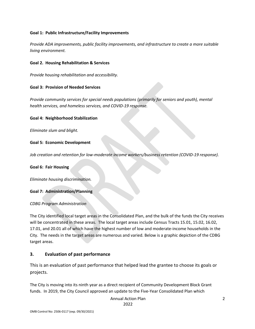#### **Goal 1: Public Infrastructure/Facility Improvements**

*Provide ADA improvements, public facility improvements, and infrastructure to create a more suitable living environment.*

#### **Goal 2. Housing Rehabilitation & Services**

*Provide housing rehabilitation and accessibility.*

#### **Goal 3: Provision of Needed Services**

*Provide community services for special needs populations (primarily for seniors and youth), mental health services, and homeless services, and COVID-19 response.*

#### **Goal 4: Neighborhood Stabilization**

*Eliminate slum and blight.*

#### **Goal 5: Economic Development**

*Job creation and retention for low-moderate income workers/business retention (COVID-19 response).*

**Goal 6: Fair Housing**

*Eliminate housing discrimination.*

#### **Goal 7: Administration/Planning**

#### *CDBG Program Administration*

The City identified local target areas in the Consolidated Plan, and the bulk of the funds the City receives will be concentrated in these areas. The local target areas include Census Tracts 15.01, 15.02, 16.02, 17.01, and 20.01 all of which have the highest number of low and moderate-income households in the City. The needs in the target areas are numerous and varied. Below is a graphic depiction of the CDBG target areas.

#### **3. Evaluation of past performance**

This is an evaluation of past performance that helped lead the grantee to choose its goals or projects.

The City is moving into its ninth year as a direct recipient of Community Development Block Grant funds. In 2019, the City Council approved an update to the Five-Year Consolidated Plan which

Annual Action Plan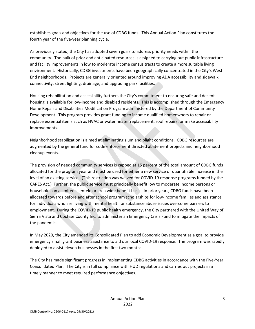establishes goals and objectives for the use of CDBG funds. This Annual Action Plan constitutes the fourth year of the five-year planning cycle.

As previously stated, the City has adopted seven goals to address priority needs within the community. The bulk of prior and anticipated resources is assigned to carrying out public infrastructure and facility improvements in low to moderate income census tracts to create a more suitable living environment. Historically, CDBG investments have been geographically concentrated in the City's West End neighborhoods. Projects are generally oriented around improving ADA accessibility and sidewalk connectivity, street lighting, drainage, and upgrading park facilities.

Housing rehabilitation and accessibility furthers the City's commitment to ensuring safe and decent housing is available for low-income and disabled residents. This is accomplished through the Emergency Home Repair and Disabilities Modification Program administered by the Department of Community Development. This program provides grant funding to income qualified homeowners to repair or replace essential items such as HVAC or water heater replacement, roof repairs, or make accessibility improvements.

Neighborhood stabilization is aimed at eliminating slum and blight conditions. CDBG resources are augmented by the general fund for code enforcement directed abatement projects and neighborhood cleanup events.

The provision of needed community services is capped at 15 percent of the total amount of CDBG funds allocated for the program year and must be used for either a new service or quantifiable increase in the level of an existing service. (This restriction was waived for COVID-19 response programs funded by the CARES Act.) Further, the public service must principally benefit low to moderate income persons or households on a limited clientele or area wide benefit basis. In prior years, CDBG funds have been allocated towards before and after school program scholarships for low-income families and assistance for individuals who are living with mental health or substance abuse issues overcome barriers to employment. During the COVID-19 public health emergency, the City partnered with the United Way of Sierra Vista and Cochise County Inc. to administer an Emergency Crisis Fund to mitigate the impacts of the pandemic.

In May 2020, the City amended its Consolidated Plan to add Economic Development as a goal to provide emergency small grant business assistance to aid our local COVID-19 response. The program was rapidly deployed to assist eleven businesses in the first two months.

The City has made significant progress in implementing CDBG activities in accordance with the Five-Year Consolidated Plan. The City is in full compliance with HUD regulations and carries out projects in a timely manner to meet required performance objectives.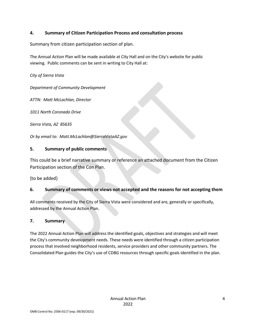### **4. Summary of Citizen Participation Process and consultation process**

Summary from citizen participation section of plan.

The Annual Action Plan will be made available at City Hall and on the City's website for public viewing. Public comments can be sent in writing to City Hall at:

*City of Sierra Vista*

*Department of Community Development*

*ATTN: Matt McLachlan, Director*

*1011 North Coronado Drive*

*Sierra Vista, AZ 85635*

*Or by email to: Matt.McLachlan@SierraVistaAZ.gov*

### **5. Summary of public comments**

This could be a brief narrative summary or reference an attached document from the Citizen Participation section of the Con Plan.

{to be added}

### **6. Summary of comments or views not accepted and the reasons for not accepting them**

All comments received by the City of Sierra Vista were considered and are, generally or specifically, addressed by the Annual Action Plan.

### **7. Summary**

The 2022 Annual Action Plan will address the identified goals, objectives and strategies and will meet the City's community development needs. These needs were identified through a citizen participation process that involved neighborhood residents, service providers and other community partners. The Consolidated Plan guides the City's use of CDBG resources through specific goals identified in the plan.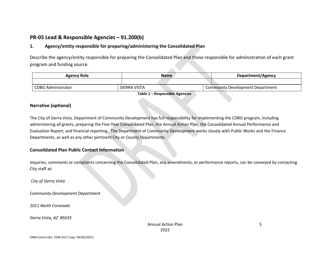## **PR-05 Lead & Responsible Agencies – 91.200(b)**

### **1. Agency/entity responsible for preparing/administering the Consolidated Plan**

Describe the agency/entity responsible for preparing the Consolidated Plan and those responsible for administration of each grant program and funding source.

| Agency Role               | <b>Name</b>  | Department/Agency                |
|---------------------------|--------------|----------------------------------|
|                           |              |                                  |
| <b>CDBG Administrator</b> | SIERRA VISTA | Community Development Department |

**Table 1 – Responsible Agencies**

#### **Narrative (optional)**

The City of Sierra Vista, Department of Community Development has full responsibility for implementing the CDBG program, including administering all grants, preparing the Five-Year Consolidated Plan, the Annual Action Plan, the Consolidated Annual Performance and Evaluation Report, and financial reporting. The Department of Community Development works closely with Public Works and the Finance Departments, as well as any other pertinent City or County Departments.

#### **Consolidated Plan Public Contact Information**

Inquiries, comments or complaints concerning the Consolidated Plan, any amendments, or performance reports, can be conveyed by contacting City staff at:

*City of Sierra Vista*

*Community Development Department*

*1011 North Coronado*

*Sierra Vista, AZ 85635*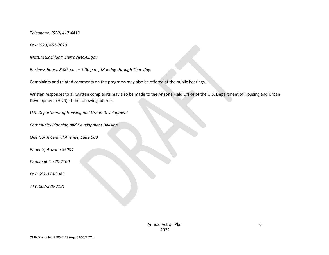*Telephone: (520) 417-4413*

*Fax: (520) 452-7023*

*Matt.McLachlan@SierraVistaAZ.gov*

*Business hours: 8:00 a.m. – 5:00 p.m., Monday through Thursday.*

Complaints and related comments on the programs may also be offered at the public hearings.

Written responses to all written complaints may also be made to the Arizona Field Office of the U.S. Department of Housing and Urban Development (HUD) at the following address:

*U.S. Department of Housing and Urban Development*

*Community Planning and Development Division*

*One North Central Avenue, Suite 600*

*Phoenix, Arizona 85004*

*Phone: 602-379-7100*

*Fax: 602-379-3985*

*TTY: 602-379-7181*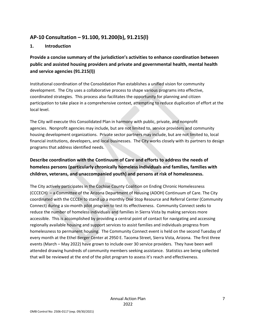### **AP-10 Consultation – 91.100, 91.200(b), 91.215(l)**

### **1. Introduction**

**Provide a concise summary of the jurisdiction's activities to enhance coordination between public and assisted housing providers and private and governmental health, mental health and service agencies (91.215(l))**

Institutional coordination of the Consolidation Plan establishes a unified vision for community development. The City uses a collaborative process to shape various programs into effective, coordinated strategies. This process also facilitates the opportunity for planning and citizen participation to take place in a comprehensive context, attempting to reduce duplication of effort at the local level.

The City will execute this Consolidated Plan in harmony with public, private, and nonprofit agencies. Nonprofit agencies may include, but are not limited to, service providers and community housing development organizations. Private sector partners may include, but are not limited to, local financial institutions, developers, and local businesses. The City works closely with its partners to design programs that address identified needs.

### **Describe coordination with the Continuum of Care and efforts to address the needs of homeless persons (particularly chronically homeless individuals and families, families with children, veterans, and unaccompanied youth) and persons at risk of homelessness.**

The City actively participates in the Cochise County Coalition on Ending Chronic Homelessness (CCCECH) – a Committee of the Arizona Department of Housing (ADOH) Continuum of Care. The City coordinated with the CCCEH to stand up a monthly One Stop Resource and Referral Center (Community Connect) during a six-month pilot program to test its effectiveness. Community Connect seeks to reduce the number of homeless individuals and families in Sierra Vista by making services more accessible. This is accomplished by providing a central point of contact for navigating and accessing regionally available housing and support services to assist families and individuals progress from homelessness to permanent housing. The Community Connect event is held on the second Tuesday of every month at the Ethel Berger Center at 2950 E. Tacoma Street, Sierra Vista, Arizona. The first three events (March – May 2022) have grown to include over 30 service providers. They have been well attended drawing hundreds of community members seeking assistance. Statistics are being collected that will be reviewed at the end of the pilot program to assess it's reach and effectiveness.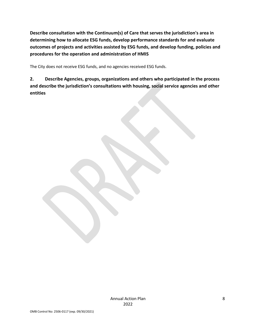**Describe consultation with the Continuum(s) of Care that serves the jurisdiction's area in determining how to allocate ESG funds, develop performance standards for and evaluate outcomes of projects and activities assisted by ESG funds, and develop funding, policies and procedures for the operation and administration of HMIS**

The City does not receive ESG funds, and no agencies received ESG funds.

**2. Describe Agencies, groups, organizations and others who participated in the process and describe the jurisdiction's consultations with housing, social service agencies and other entities**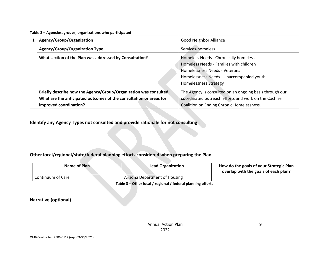| Table 2 - Agencies, groups, organizations who participated |  |  |
|------------------------------------------------------------|--|--|
|------------------------------------------------------------|--|--|

| Agency/Group/Organization                                          | <b>Good Neighbor Alliance</b>                           |
|--------------------------------------------------------------------|---------------------------------------------------------|
| <b>Agency/Group/Organization Type</b>                              | Services-homeless                                       |
| What section of the Plan was addressed by Consultation?            | Homeless Needs - Chronically homeless                   |
|                                                                    | Homeless Needs - Families with children                 |
|                                                                    | Homelessness Needs - Veterans                           |
|                                                                    | Homelessness Needs - Unaccompanied youth                |
|                                                                    | <b>Homelessness Strategy</b>                            |
| Briefly describe how the Agency/Group/Organization was consulted.  | The Agency is consulted on an ongoing basis through our |
| What are the anticipated outcomes of the consultation or areas for | coordinated outreach efforts and work on the Cochise    |
| improved coordination?                                             | Coalition on Ending Chronic Homelessness.               |

**Identify any Agency Types not consulted and provide rationale for not consulting**

### **Other local/regional/state/federal planning efforts considered when preparing the Plan**

| Name of Plan      | <b>Lead Organization</b>             | How do the goals of your Strategic Plan<br>overlap with the goals of each plan? |
|-------------------|--------------------------------------|---------------------------------------------------------------------------------|
| Continuum of Care | <b>Arizona Department of Housing</b> |                                                                                 |

**Table 3 – Other local / regional / federal planning efforts**

**Narrative (optional)**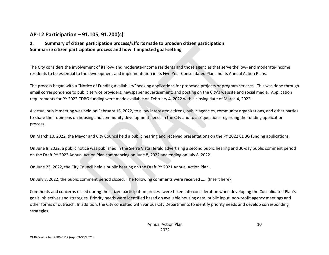### **AP-12 Participation – 91.105, 91.200(c)**

### **1. Summary of citizen participation process/Efforts made to broaden citizen participation Summarize citizen participation process and how it impacted goal-setting**

The City considers the involvement of its low- and moderate-income residents and those agencies that serve the low- and moderate-income residents to be essential to the development and implementation in its Five-Year Consolidated Plan and its Annual Action Plans.

The process began with a "Notice of Funding Availability" seeking applications for proposed projects or program services. This was done through email correspondence to public service providers; newspaper advertisement; and posting on the City's website and social media. Application requirements for PY 2022 CDBG funding were made available on February 4, 2022 with a closing date of March 4, 2022.

A virtual public meeting was held on February 16, 2022, to allow interested citizens, public agencies, community organizations, and other parties to share their opinions on housing and community development needs in the City and to ask questions regarding the funding application process.

On March 10, 2022, the Mayor and City Council held a public hearing and received presentations on the PY 2022 CDBG funding applications.

On June 8, 2022, a public notice was published in the Sierra Vista Herald advertising a second public hearing and 30-day public comment period on the Draft PY 2022 Annual Action Plan commencing on June 8, 2022 and ending on July 8, 2022.

On June 23, 2022, the City Council held a public hearing on the Draft PY 2021 Annual Action Plan.

On July 8, 2022, the public comment period closed. The following comments were received ….. {Insert here}

Comments and concerns raised during the citizen participation process were taken into consideration when developing the Consolidated Plan's goals, objectives and strategies. Priority needs were identified based on available housing data, public input, non-profit agency meetings and other forms of outreach. In addition, the City consulted with various City Departments to identify priority needs and develop corresponding strategies.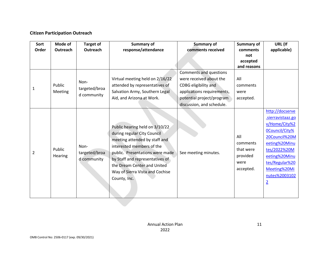### **Citizen Participation Outreach**

| Sort<br>Order | Mode of<br>Outreach      | <b>Target of</b><br>Outreach         | <b>Summary of</b><br>response/attendance                                                                                                                                                                                                                                            | <b>Summary of</b><br>comments received                                                                                                                            | Summary of<br>comments<br>not<br>accepted<br>and reasons      | URL (If<br>applicable)                                                                                                                                                                                                 |
|---------------|--------------------------|--------------------------------------|-------------------------------------------------------------------------------------------------------------------------------------------------------------------------------------------------------------------------------------------------------------------------------------|-------------------------------------------------------------------------------------------------------------------------------------------------------------------|---------------------------------------------------------------|------------------------------------------------------------------------------------------------------------------------------------------------------------------------------------------------------------------------|
| 1             | Public<br><b>Meeting</b> | Non-<br>targeted/broa<br>d community | Virtual meeting held on 2/16/22<br>attended by representatives of<br>Salvation Army, Southern Legal<br>Aid, and Arizona at Work.                                                                                                                                                    | Comments and questions<br>were received about the<br>CDBG eligibility and<br>applications requirements,<br>potential project/program<br>discussion, and schedule. | All<br>comments<br>were<br>accepted.                          |                                                                                                                                                                                                                        |
| 2             | Public<br><b>Hearing</b> | Non-<br>targeted/broa<br>d community | Public hearing held on 3/10/22<br>during regular City Council<br>meeting attended by staff and<br>interested members of the<br>public. Presentations were made<br>by Staff and representatives of<br>the Dream Center and United<br>Way of Sierra Vista and Cochise<br>County, Inc. | See meeting minutes.                                                                                                                                              | All<br>comments<br>that were<br>provided<br>were<br>accepted. | http://docserve<br>.sierravistaaz.go<br>v/Home/City%2<br><b>OCouncil/City%</b><br>20Council%20M<br>eeting%20Minu<br>tes/2022%20M<br>eeting%20Minu<br>tes/Regular%20<br>Meeting%20Mi<br>nutes%2003102<br>$\overline{2}$ |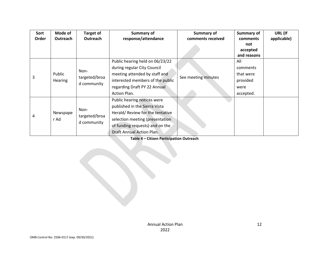| Sort  | Mode of                  | <b>Target of</b>                     | Summary of                                                                                                                                                                                         | <b>Summary of</b>   | <b>Summary of</b>                                             | URL (If     |
|-------|--------------------------|--------------------------------------|----------------------------------------------------------------------------------------------------------------------------------------------------------------------------------------------------|---------------------|---------------------------------------------------------------|-------------|
| Order | <b>Outreach</b>          | Outreach                             | response/attendance                                                                                                                                                                                | comments received   | comments<br>not<br>accepted<br>and reasons                    | applicable) |
| 3     | Public<br><b>Hearing</b> | Non-<br>targeted/broa<br>d community | Public hearing held on 06/23/22<br>during regular City Council<br>meeting attended by staff and<br>interested members of the public<br>regarding Draft PY 22 Annual<br>Action Plan.                | See meeting minutes | All<br>comments<br>that were<br>provided<br>were<br>accepted. |             |
| 4     | Newspape<br>r Ad         | Non-<br>targeted/broa<br>d community | Public hearing notices were<br>published in the Sierra Vista<br>Herald/Review for the tentative<br>selection meeting (presentation<br>of funding requests) and on the<br>Draft Annual Action Plan. |                     |                                                               |             |

**Table 4 – Citizen Participation Outreach**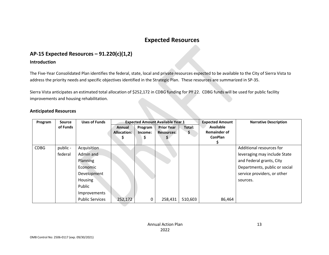# **Expected Resources**

### **AP-15 Expected Resources – 91.220(c)(1,2)**

#### **Introduction**

The Five-Year Consolidated Plan identifies the federal, state, local and private resources expected to be available to the City of Sierra Vista to address the priority needs and specific objectives identified in the Strategic Plan. These resources are summarized in SP-35.

Sierra Vista anticipates an estimated total allocation of \$252,172 in CDBG funding for PY 22. CDBG funds will be used for public facility improvements and housing rehabilitation.

| <b>Anticipated Resources</b> |  |
|------------------------------|--|
|------------------------------|--|

| Program     | Source   | <b>Uses of Funds</b>   | <b>Expected Amount Available Year 1</b> |         | <b>Expected Amount</b> | <b>Narrative Description</b> |                     |                               |
|-------------|----------|------------------------|-----------------------------------------|---------|------------------------|------------------------------|---------------------|-------------------------------|
|             | of Funds |                        | Annual                                  | Program | <b>Prior Year</b>      | Total:                       | <b>Available</b>    |                               |
|             |          |                        | Allocation:                             | Income: | <b>Resources:</b>      | \$                           | <b>Remainder of</b> |                               |
|             |          |                        |                                         |         |                        |                              | <b>ConPlan</b>      |                               |
|             |          |                        |                                         |         |                        |                              |                     |                               |
| <b>CDBG</b> | public - | Acquisition            |                                         |         |                        |                              |                     | Additional resources for      |
|             | federal  | Admin and              |                                         |         |                        |                              |                     | leveraging may include State  |
|             |          | Planning               |                                         |         |                        |                              |                     | and Federal grants, City      |
|             |          | Economic               |                                         |         |                        |                              |                     | Departments, public or social |
|             |          | Development            |                                         |         |                        |                              |                     | service providers, or other   |
|             |          | Housing                |                                         |         |                        |                              |                     | sources.                      |
|             |          | Public                 |                                         |         |                        |                              |                     |                               |
|             |          | Improvements           |                                         |         |                        |                              |                     |                               |
|             |          | <b>Public Services</b> | 252,172                                 | 0       | 258,431                | 510,603                      | 86,464              |                               |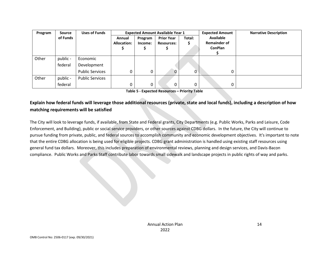| Program | Source   | <b>Uses of Funds</b>   | <b>Expected Amount Available Year 1</b> |                    |                                        |             | <b>Expected Amount</b>                             | <b>Narrative Description</b> |
|---------|----------|------------------------|-----------------------------------------|--------------------|----------------------------------------|-------------|----------------------------------------------------|------------------------------|
|         | of Funds |                        | Annual<br>Allocation:                   | Program<br>Income: | <b>Prior Year</b><br><b>Resources:</b> | Total:<br>S | Available<br><b>Remainder of</b><br><b>ConPlan</b> |                              |
| Other   | public - | Economic               |                                         |                    |                                        |             |                                                    |                              |
|         | federal  | Development            |                                         |                    |                                        |             |                                                    |                              |
|         |          | <b>Public Services</b> | 0                                       | 0                  | $\Omega$                               | 0           | 0                                                  |                              |
| Other   | public - | <b>Public Services</b> |                                         |                    |                                        |             |                                                    |                              |
|         | federal  |                        | 0                                       | 0                  | 0                                      | 0           | 0                                                  |                              |

**Table 5 - Expected Resources – Priority Table**

### **Explain how federal funds will leverage those additional resources (private, state and local funds), including a description of how matching requirements will be satisfied**

The City will look to leverage funds, if available, from State and Federal grants, City Departments (e.g. Public Works, Parks and Leisure, Code Enforcement, and Building), public or social service providers, or other sources against CDBG dollars. In the future, the City will continue to pursue funding from private, public, and federal sources to accomplish community and economic development objectives. It's important to note that the entire CDBG allocation is being used for eligible projects. CDBG grant administration is handled using existing staff resources using general fund tax dollars. Moreover, this includes preparation of environmental reviews, planning and design services, and Davis-Bacon compliance. Public Works and Parks Staff contribute labor towards small sidewalk and landscape projects in public rights of way and parks.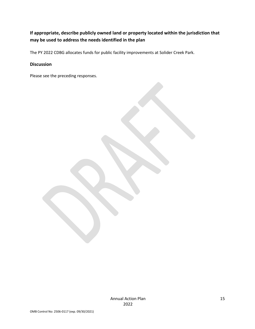### **If appropriate, describe publicly owned land or property located within the jurisdiction that may be used to address the needs identified in the plan**

The PY 2022 CDBG allocates funds for public facility improvements at Solider Creek Park.

#### **Discussion**

Please see the preceding responses.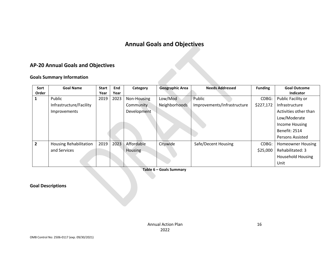# **Annual Goals and Objectives**

# **AP-20 Annual Goals and Objectives**

#### **Goals Summary Information**

| Sort           | <b>Goal Name</b>              | <b>Start</b> | End  | Category    | <b>Geographic Area</b> | <b>Needs Addressed</b>      |           | <b>Goal Outcome</b>      |
|----------------|-------------------------------|--------------|------|-------------|------------------------|-----------------------------|-----------|--------------------------|
| Order          |                               | Year         | Year |             |                        |                             |           | <b>Indicator</b>         |
|                | Public                        | 2019         | 2023 | Non-Housing | Low/Mod                | Public                      | CDBG:     | Public Facility or       |
|                | Infrastructure/Facility       |              |      | Community   | Neighborhoods          | Improvements/Infrastructure | \$227,172 | Infrastructure           |
|                | Improvements                  |              |      | Development |                        |                             |           | Activities other than    |
|                |                               |              |      |             |                        |                             |           | Low/Moderate             |
|                |                               |              |      |             |                        |                             |           | Income Housing           |
|                |                               |              |      |             |                        |                             |           | <b>Benefit: 2514</b>     |
|                |                               |              |      |             |                        |                             |           | <b>Persons Assisted</b>  |
| $\overline{2}$ | <b>Housing Rehabilitation</b> | 2019         | 2023 | Affordable  | Citywide               | Safe/Decent Housing         | CDBG:     | <b>Homeowner Housing</b> |
|                | and Services                  |              |      | Housing     |                        |                             | \$25,000  | Rehabilitated: 3         |
|                |                               |              |      |             |                        |                             |           | <b>Household Housing</b> |
|                |                               |              |      |             |                        |                             |           | Unit                     |

**Table 6 – Goals Summary**

**Goal Descriptions**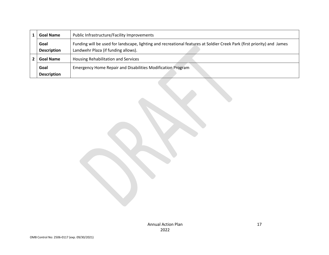| <b>Goal Name</b>   | Public Infrastructure/Facility Improvements                                                                             |
|--------------------|-------------------------------------------------------------------------------------------------------------------------|
| Goal               | Funding will be used for landscape, lighting and recreational features at Soldier Creek Park (first priority) and James |
| <b>Description</b> | Landwehr Plaza (if funding allows).                                                                                     |
| <b>Goal Name</b>   | Housing Rehabilitation and Services                                                                                     |
| Goal               | <b>Emergency Home Repair and Disabilities Modification Program</b>                                                      |
| <b>Description</b> |                                                                                                                         |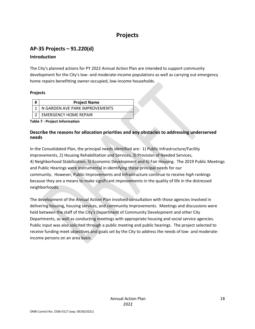# **Projects**

# **AP-35 Projects – 91.220(d)**

### **Introduction**

The City's planned actions for PY 2022 Annual Action Plan are intended to support community development for the City's low- and moderate-income populations as well as carrying out emergency home repairs benefitting owner-occupied, low-income households.

### **Projects**

| <b>Project Name</b>            |  |
|--------------------------------|--|
| N GARDEN AVE PARK IMPROVEMENTS |  |
| <b>EMERGENCY HOME REPAIR</b>   |  |

**Table 7 - Project Information**

### **Describe the reasons for allocation priorities and any obstacles to addressing underserved needs**

In the Consolidated Plan, the principal needs identified are: 1) Public Infrastructure/Facility Improvements, 2) Housing Rehabilitation and Services, 3) Provision of Needed Services, 4) Neighborhood Stabilization, 5) Economic Development and 6) Fair Housing. The 2019 Public Meetings and Public Hearings were instrumental in identifying these principal needs for our community. However, Public Improvements and Infrastructure continue to receive *high* rankings because they are a means to make significant improvements in the quality of life in the distressed neighborhoods.

The development of the Annual Action Plan involved consultation with those agencies involved in delivering housing, housing services, and community improvements. Meetings and discussions were held between the staff of the City's Department of Community Development and other City Departments, as well as conducting meetings with appropriate housing and social service agencies. Public input was also solicited through a public meeting and public hearings. The project selected to receive funding meet objectives and goals set by the City to address the needs of low- and moderateincome persons on an area basis.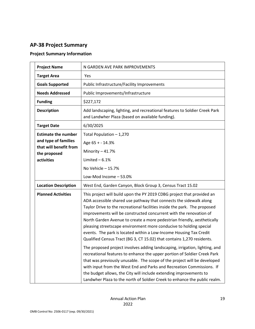# **AP-38 Project Summary**

### **Project Summary Information**

| <b>Project Name</b>                    | N GARDEN AVE PARK IMPROVEMENTS                                                                                                                                                                                                                                                                                                                                                                                                                                                                                                                                                                   |
|----------------------------------------|--------------------------------------------------------------------------------------------------------------------------------------------------------------------------------------------------------------------------------------------------------------------------------------------------------------------------------------------------------------------------------------------------------------------------------------------------------------------------------------------------------------------------------------------------------------------------------------------------|
| <b>Target Area</b>                     | Yes                                                                                                                                                                                                                                                                                                                                                                                                                                                                                                                                                                                              |
| <b>Goals Supported</b>                 | Public Infrastructure/Facility Improvements                                                                                                                                                                                                                                                                                                                                                                                                                                                                                                                                                      |
| <b>Needs Addressed</b>                 | Public Improvements/Infrastructure                                                                                                                                                                                                                                                                                                                                                                                                                                                                                                                                                               |
| <b>Funding</b>                         | \$227,172                                                                                                                                                                                                                                                                                                                                                                                                                                                                                                                                                                                        |
| <b>Description</b>                     | Add landscaping, lighting, and recreational features to Soldier Creek Park<br>and Landwher Plaza (based on available funding).                                                                                                                                                                                                                                                                                                                                                                                                                                                                   |
| <b>Target Date</b>                     | 6/30/2025                                                                                                                                                                                                                                                                                                                                                                                                                                                                                                                                                                                        |
| <b>Estimate the number</b>             | Total Population - 1,270                                                                                                                                                                                                                                                                                                                                                                                                                                                                                                                                                                         |
| and type of families                   | Age 65 + - 14.3%                                                                                                                                                                                                                                                                                                                                                                                                                                                                                                                                                                                 |
| that will benefit from<br>the proposed | Minority - 41.7%                                                                                                                                                                                                                                                                                                                                                                                                                                                                                                                                                                                 |
| activities                             | Limited $-6.1%$                                                                                                                                                                                                                                                                                                                                                                                                                                                                                                                                                                                  |
|                                        | No Vehicle $-15.7%$                                                                                                                                                                                                                                                                                                                                                                                                                                                                                                                                                                              |
|                                        | Low-Mod Income - 53.0%                                                                                                                                                                                                                                                                                                                                                                                                                                                                                                                                                                           |
| <b>Location Description</b>            | West End, Garden Canyon, Block Group 3, Census Tract 15.02                                                                                                                                                                                                                                                                                                                                                                                                                                                                                                                                       |
| <b>Planned Activities</b>              | This project will build upon the PY 2019 CDBG project that provided an<br>ADA accessible shared use pathway that connects the sidewalk along<br>Taylor Drive to the recreational facilities inside the park. The proposed<br>improvements will be constructed concurrent with the renovation of<br>North Garden Avenue to create a more pedestrian friendly, aesthetically<br>pleasing streetscape environment more conducive to holding special<br>events. The park is located within a Low-Income Housing Tax Credit<br>Qualified Census Tract (BG 3, CT 15.02) that contains 1,270 residents. |
|                                        | The proposed project involves adding landscaping, irrigation, lighting, and<br>recreational features to enhance the upper portion of Soldier Creek Park<br>that was previously unusable. The scope of the project will be developed<br>with input from the West End and Parks and Recreation Commissions. If<br>the budget allows, the City will include extending improvements to<br>Landwher Plaza to the north of Soldier Creek to enhance the public realm.                                                                                                                                  |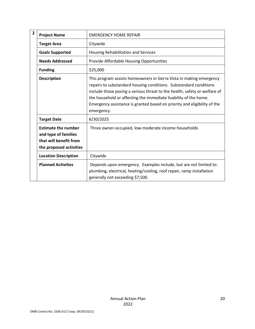| $\overline{2}$ | <b>Project Name</b>                                                                                     | <b>EMERGENCY HOME REPAIR</b>                                                                                                                                                                                                                                                                                                                                                        |
|----------------|---------------------------------------------------------------------------------------------------------|-------------------------------------------------------------------------------------------------------------------------------------------------------------------------------------------------------------------------------------------------------------------------------------------------------------------------------------------------------------------------------------|
|                | <b>Target Area</b>                                                                                      | Citywide                                                                                                                                                                                                                                                                                                                                                                            |
|                | <b>Goals Supported</b>                                                                                  | Housing Rehabilitation and Services                                                                                                                                                                                                                                                                                                                                                 |
|                | <b>Needs Addressed</b>                                                                                  | Provide Affordable Housing Opportunities                                                                                                                                                                                                                                                                                                                                            |
|                | <b>Funding</b>                                                                                          | \$25,000                                                                                                                                                                                                                                                                                                                                                                            |
|                | <b>Description</b>                                                                                      | This program assists homeowners in Sierra Vista in making emergency<br>repairs to substandard housing conditions. Substandard conditions<br>include those posing a serious threat to the health, safety or welfare of<br>the household or affecting the immediate livability of the home.<br>Emergency assistance is granted based on priority and eligibility of the<br>emergency. |
|                | <b>Target Date</b>                                                                                      | 6/30/2025                                                                                                                                                                                                                                                                                                                                                                           |
|                | <b>Estimate the number</b><br>and type of families<br>that will benefit from<br>the proposed activities | Three owner-occupied, low-moderate income households                                                                                                                                                                                                                                                                                                                                |
|                | <b>Location Description</b>                                                                             | Citywide                                                                                                                                                                                                                                                                                                                                                                            |
|                | <b>Planned Activities</b>                                                                               | Depends upon emergency. Examples include, but are not limited to:<br>plumbing, electrical, heating/cooling, roof repair, ramp installation<br>generally not exceeding \$7,500.                                                                                                                                                                                                      |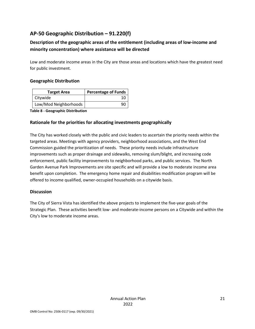# **AP-50 Geographic Distribution – 91.220(f)**

### **Description of the geographic areas of the entitlement (including areas of low-income and minority concentration) where assistance will be directed**

Low and moderate income areas in the City are those areas and locations which have the greatest need for public investment.

#### **Geographic Distribution**

| <b>Target Area</b>    | <b>Percentage of Funds</b> |  |
|-----------------------|----------------------------|--|
| Citywide              |                            |  |
| Low/Mod Neighborhoods |                            |  |

**Table 8 - Geographic Distribution** 

#### **Rationale for the priorities for allocating investments geographically**

The City has worked closely with the public and civic leaders to ascertain the priority needs within the targeted areas. Meetings with agency providers, neighborhood associations, and the West End Commission guided the prioritization of needs. These priority needs include infrastructure improvements such as proper drainage and sidewalks, removing slum/blight, and increasing code enforcement, public facility improvements to neighborhood parks, and public services. The North Garden Avenue Park Improvements are site specific and will provide a low to moderate income area benefit upon completion. The emergency home repair and disabilities modification program will be offered to income qualified, owner-occupied households on a citywide basis.

#### **Discussion**

The City of Sierra Vista has identified the above projects to implement the five-year goals of the Strategic Plan. These activities benefit low- and moderate-income persons on a Citywide and within the City's low to moderate income areas.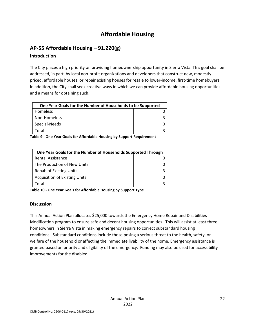# **Affordable Housing**

# **AP-55 Affordable Housing – 91.220(g)**

### **Introduction**

The City places a high priority on providing homeownership opportunity in Sierra Vista. This goal shall be addressed, in part, by local non-profit organizations and developers that construct new, modestly priced, affordable houses, or repair existing houses for resale to lower-income, first-time homebuyers. In addition, the City shall seek creative ways in which we can provide affordable housing opportunities and a means for obtaining such.

| One Year Goals for the Number of Households to be Supported |  |
|-------------------------------------------------------------|--|
| Homeless                                                    |  |
| Non-Homeless                                                |  |
| Special-Needs                                               |  |
| Total                                                       |  |

**Table 9 - One Year Goals for Affordable Housing by Support Requirement**

| One Year Goals for the Number of Households Supported Through |  |  |
|---------------------------------------------------------------|--|--|
| <b>Rental Assistance</b>                                      |  |  |
| The Production of New Units                                   |  |  |
| <b>Rehab of Existing Units</b>                                |  |  |
| <b>Acquisition of Existing Units</b>                          |  |  |
| Total                                                         |  |  |

**Table 10 - One Year Goals for Affordable Housing by Support Type**

### **Discussion**

This Annual Action Plan allocates \$25,000 towards the Emergency Home Repair and Disabilities Modification program to ensure safe and decent housing opportunities. This will assist at least three homeowners in Sierra Vista in making emergency repairs to correct substandard housing conditions. Substandard conditions include those posing a serious threat to the health, safety, or welfare of the household or affecting the immediate livability of the home. Emergency assistance is granted based on priority and eligibility of the emergency. Funding may also be used for accessibility improvements for the disabled.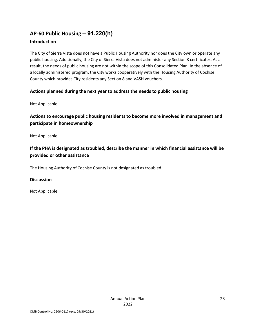# **AP-60 Public Housing** *–* **91.220(h)**

### **Introduction**

The City of Sierra Vista does not have a Public Housing Authority nor does the City own or operate any public housing. Additionally, the City of Sierra Vista does not administer any Section 8 certificates. As a result, the needs of public housing are not within the scope of this Consolidated Plan. In the absence of a locally administered program, the City works cooperatively with the Housing Authority of Cochise County which provides City residents any Section 8 and VASH vouchers.

### **Actions planned during the next year to address the needs to public housing**

Not Applicable

### **Actions to encourage public housing residents to become more involved in management and participate in homeownership**

Not Applicable

### **If the PHA is designated as troubled, describe the manner in which financial assistance will be provided or other assistance**

The Housing Authority of Cochise County is not designated as troubled.

### **Discussion**

Not Applicable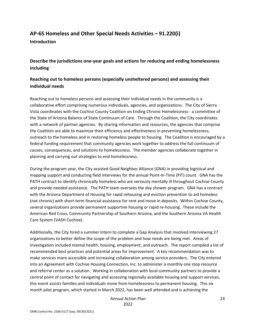# **AP-65 Homeless and Other Special Needs Activities – 91.220(i)**

**Introduction**

**Describe the jurisdictions one-year goals and actions for reducing and ending homelessness including**

### **Reaching out to homeless persons (especially unsheltered persons) and assessing their individual needs**

Reaching out to homeless persons and assessing their individual needs in the community is a collaborative effort comprising numerous individuals, agencies, and organizations. The City of Sierra Vista coordinates with the Cochise County Coalition on Ending Chronic Homelessness - a committee of the State of Arizona Balance of State Continuum of Care. Through the Coalition, the City coordinates with a network of partner agencies. By sharing information and resources, the agencies that comprise the Coalition are able to maximize their efficiency and effectiveness in preventing homelessness, outreach to the homeless and in restoring homeless people to housing. The Coalition is encouraged by a federal funding requirement that community agencies work together to address the full continuum of causes, consequences, and solutions to homelessness. The member agencies collaborate together in planning and carrying out strategies to end homelessness.

During the program year, the City assisted Good Neighbor Alliance (GNA) in providing logistical and mapping support and conducting field interviews for the annual Point-In-Time (PIT) count. GNA has the PATH contract to identify chronically homeless who are seriously mentally ill throughout Cochise County and provide needed assistance. The PATH team oversees the day shower program. GNA has a contract with the Arizona Department of Housing for rapid rehousing and eviction prevention to aid homeless (not chronic) with short-term financial assistance for rent and move in deposits. Within Cochise County, several organizations provide permanent supportive housing or rapid re-housing. These include the American Red Cross, Community Partnership of Southern Arizona, and the Southern Arizona VA Health Care System (VASH Cochise).

Additionally, the City hired a summer intern to complete a Gap Analysis that involved interviewing 27 organizations to better define the scope of the problem and how needs are being met. Areas of investigation included mental health, housing, employment, and outreach. The report compiled a list of recommended best practices and potential areas for improvement. A key recommendation was to make services more accessible and increasing collaboration among service providers. The City entered into an Agreement with Cochise Housing Connection, Inc. to administer a monthly one stop resource and referral center as a solution. Working in collaboration with local community partners to provide a central point of contact for navigating and accessing regionally available housing and support services, this event assists families and individuals move from homelessness to permanent housing. This six month pilot program, which started in March 2022, has been well attended and is achieving the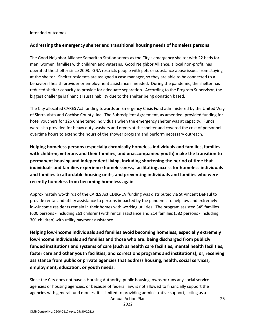intended outcomes.

#### **Addressing the emergency shelter and transitional housing needs of homeless persons**

The Good Neighbor Alliance Samaritan Station serves as the City's emergency shelter with 22 beds for men, women, families with children and veterans. Good Neighbor Alliance, a local non-profit, has operated the shelter since 2003. GNA restricts people with pets or substance abuse issues from staying at the shelter. Shelter residents are assigned a case manager, so they are able to be connected to a behavioral health provider or employment assistance if needed. During the pandemic, the shelter has reduced shelter capacity to provide for adequate separation. According to the Program Supervisor, the biggest challenge is financial sustainability due to the shelter being donation based.

The City allocated CARES Act funding towards an Emergency Crisis Fund administered by the United Way of Sierra Vista and Cochise County, Inc. The Subrecipient Agreement, as amended, provided funding for hotel vouchers for 126 unsheltered individuals when the emergency shelter was at capacity. Funds were also provided for heavy duty washers and dryers at the shelter and covered the cost of personnel overtime hours to extend the hours of the shower program and perform necessary outreach.

**Helping homeless persons (especially chronically homeless individuals and families, families with children, veterans and their families, and unaccompanied youth) make the transition to permanent housing and independent living, including shortening the period of time that individuals and families experience homelessness, facilitating access for homeless individuals and families to affordable housing units, and preventing individuals and families who were recently homeless from becoming homeless again**

Approximately wo-thirds of the CARES Act CDBG-CV funding was distributed via St Vincent DePaul to provide rental and utility assistance to persons impacted by the pandemic to help low and extremely low-income residents remain in their homes with working utilities. The program assisted 345 families (600 persons - including 261 children) with rental assistance and 214 families (582 persons - including 301 children) with utility payment assistance.

**Helping low-income individuals and families avoid becoming homeless, especially extremely low-income individuals and families and those who are: being discharged from publicly funded institutions and systems of care (such as health care facilities, mental health facilities, foster care and other youth facilities, and corrections programs and institutions); or, receiving assistance from public or private agencies that address housing, health, social services, employment, education, or youth needs.**

Since the City does not have a Housing Authority, public housing, owns or runs any social service agencies or housing agencies, or because of federal law, is not allowed to financially support the agencies with general fund monies, it is limited to providing administrative support, acting as a

Annual Action Plan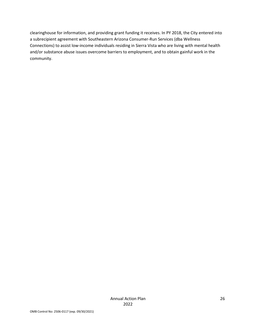clearinghouse for information, and providing grant funding it receives. In PY 2018, the City entered into a subrecipient agreement with Southeastern Arizona Consumer-Run Services (dba Wellness Connections) to assist low-income individuals residing in Sierra Vista who are living with mental health and/or substance abuse issues overcome barriers to employment, and to obtain gainful work in the community.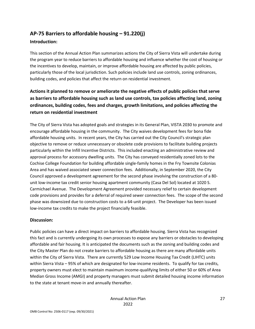# **AP-75 Barriers to affordable housing – 91.220(j)**

#### **Introduction:**

This section of the Annual Action Plan summarizes actions the City of Sierra Vista will undertake during the program year to reduce barriers to affordable housing and influence whether the cost of housing or the incentives to develop, maintain, or improve affordable housing are affected by public policies, particularly those of the local jurisdiction. Such policies include land use controls, zoning ordinances, building codes, and policies that affect the return on residential investment.

### **Actions it planned to remove or ameliorate the negative effects of public policies that serve as barriers to affordable housing such as land use controls, tax policies affecting land, zoning ordinances, building codes, fees and charges, growth limitations, and policies affecting the return on residential investment**

The City of Sierra Vista has adopted goals and strategies in its General Plan, VISTA 2030 to promote and encourage affordable housing in the community. The City waives development fees for bona fide affordable housing units. In recent years, the City has carried out the City Council's strategic plan objective to remove or reduce unnecessary or obsolete code provisions to facilitate building projects particularly within the Infill Incentive Districts. This included enacting an administrative review and approval process for accessory dwelling units. The City has conveyed residentially zoned lots to the Cochise College Foundation for building affordable single-family homes in the Fry Townsite Colonias Area and has waived associated sewer connection fees. Additionally, in September 2020, the City Council approved a development agreement for the second phase involving the construction of a 80 unit low-income tax credit senior housing apartment community (Casa Del Sol) located at 1020 S. Carmichael Avenue. The Development Agreement provided necessary relief to certain development code provisions and provides for a deferral of required sewer connection fees. The scope of the second phase was downsized due to construction costs to a 64-unit project. The Developer has been issued low-income tax credits to make the project financially feasible.

#### **Discussion:**

Public policies can have a direct impact on barriers to affordable housing. Sierra Vista has recognized this fact and is currently undergoing its own processes to expose any barriers or obstacles to developing affordable and fair housing. It is anticipated the documents such as the zoning and building codes and the City Master Plan do not create barriers to affordable housing as there are many affordable units within the City of Sierra Vista. There are currently 529 Low Income Housing Tax Credit (LIHTC) units within Sierra Vista – 95% of which are designated for low-income residents. To qualify for tax credits, property owners must elect to maintain maximum income-qualifying limits of either 50 or 60% of Area Median Gross Income (AMGI) and property managers must submit detailed housing income information to the state at tenant move-in and annually thereafter.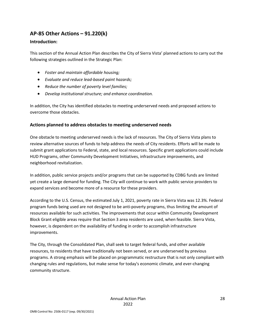## **AP-85 Other Actions – 91.220(k)**

#### **Introduction:**

This section of the Annual Action Plan describes the City of Sierra Vista' planned actions to carry out the following strategies outlined in the Strategic Plan:

- *Foster and maintain affordable housing;*
- *Evaluate and reduce lead-based paint hazards;*
- *Reduce the number of poverty level families;*
- *Develop institutional structure; and enhance coordination.*

In addition, the City has identified obstacles to meeting underserved needs and proposed actions to overcome those obstacles.

#### **Actions planned to address obstacles to meeting underserved needs**

One obstacle to meeting underserved needs is the lack of resources. The City of Sierra Vista plans to review alternative sources of funds to help address the needs of City residents. Efforts will be made to submit grant applications to Federal, state, and local resources. Specific grant applications could include HUD Programs, other Community Development Initiatives, infrastructure improvements, and neighborhood revitalization.

In addition, public service projects and/or programs that can be supported by CDBG funds are limited yet create a large demand for funding. The City will continue to work with public service providers to expand services and become more of a resource for these providers.

According to the U.S. Census, the estimated July 1, 2021, poverty rate in Sierra Vista was 12.3%. Federal program funds being used are not designed to be anti-poverty programs, thus limiting the amount of resources available for such activities. The improvements that occur within Community Development Block Grant eligible areas require that Section 3 area residents are used, when feasible. Sierra Vista, however, is dependent on the availability of funding in order to accomplish infrastructure improvements.

The City, through the Consolidated Plan, shall seek to target federal funds, and other available resources, to residents that have traditionally not been served, or are underserved by previous programs. A strong emphasis will be placed on programmatic restructure that is not only compliant with changing rules and regulations, but make sense for today's economic climate, and ever-changing community structure.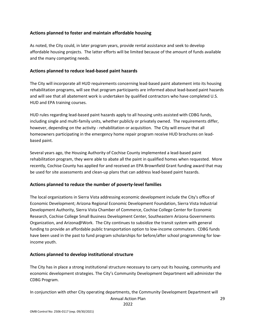#### **Actions planned to foster and maintain affordable housing**

As noted, the City could, in later program years, provide rental assistance and seek to develop affordable housing projects. The latter efforts will be limited because of the amount of funds available and the many competing needs.

#### **Actions planned to reduce lead-based paint hazards**

The City will incorporate all HUD requirements concerning lead-based paint abatement into its housing rehabilitation programs, will see that program participants are informed about lead-based paint hazards and will see that all abatement work is undertaken by qualified contractors who have completed U.S. HUD and EPA training courses.

HUD rules regarding lead-based paint hazards apply to all housing units assisted with CDBG funds, including single and multi-family units, whether publicly or privately owned. The requirements differ, however, depending on the activity - rehabilitation or acquisition. The City will ensure that all homeowners participating in the emergency home repair program receive HUD brochures on leadbased paint.

Several years ago, the Housing Authority of Cochise County implemented a lead-based paint rehabilitation program, they were able to abate all the paint in qualified homes when requested. More recently, Cochise County has applied for and received an EPA Brownfield Grant funding award that may be used for site assessments and clean-up plans that can address lead-based paint hazards.

### **Actions planned to reduce the number of poverty-level families**

The local organizations in Sierra Vista addressing economic development include the City's office of Economic Development; Arizona Regional Economic Development Foundation, Sierra Vista Industrial Development Authority, Sierra Vista Chamber of Commerce, Cochise College Center for Economic Research, Cochise College Small Business Development Center, Southeastern Arizona Governments Organization, and Arizona@Work. The City continues to subsidize the transit system with general funding to provide an affordable public transportation option to low-income commuters. CDBG funds have been used in the past to fund program scholarships for before/after school programming for lowincome youth.

### **Actions planned to develop institutional structure**

The City has in place a strong institutional structure necessary to carry out its housing, community and economic development strategies. The City's Community Development Department will administer the CDBG Program.

In conjunction with other City operating departments, the Community Development Department will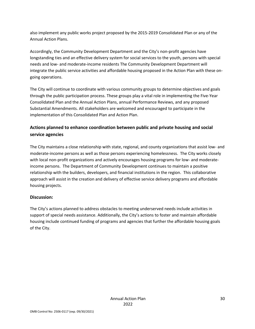also implement any public works project proposed by the 2015-2019 Consolidated Plan or any of the Annual Action Plans.

Accordingly, the Community Development Department and the City's non-profit agencies have longstanding ties and an effective delivery system for social services to the youth, persons with special needs and low- and moderate-income residents The Community Development Department will integrate the public service activities and affordable housing proposed in the Action Plan with these ongoing operations.

The City will continue to coordinate with various community groups to determine objectives and goals through the public participation process. These groups play a vital role in implementing the Five-Year Consolidated Plan and the Annual Action Plans, annual Performance Reviews, and any proposed Substantial Amendments. All stakeholders are welcomed and encouraged to participate in the implementation of this Consolidated Plan and Action Plan.

### **Actions planned to enhance coordination between public and private housing and social service agencies**

The City maintains a close relationship with state, regional, and county organizations that assist low- and moderate-income persons as well as those persons experiencing homelessness. The City works closely with local non-profit organizations and actively encourages housing programs for low- and moderateincome persons. The Department of Community Development continues to maintain a positive relationship with the builders, developers, and financial institutions in the region. This collaborative approach will assist in the creation and delivery of effective service delivery programs and affordable housing projects.

### **Discussion:**

The City's actions planned to address obstacles to meeting underserved needs include activities in support of special needs assistance. Additionally, the City's actions to foster and maintain affordable housing include continued funding of programs and agencies that further the affordable housing goals of the City.